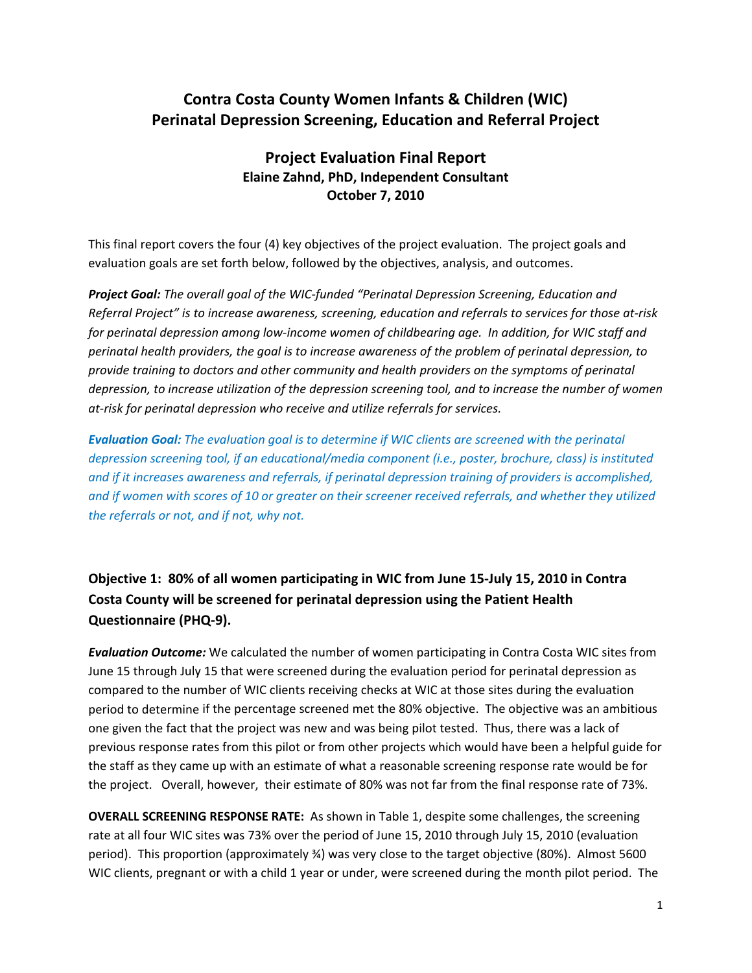## **Contra Costa County Women Infants & Children (WIC) Perinatal Depression Screening, Education and Referral Project**

## **Project Evaluation Final Report Elaine Zahnd, PhD, Independent Consultant October 7, 2010**

This final report covers the four (4) key objectives of the project evaluation. The project goals and evaluation goals are set forth below, followed by the objectives, analysis, and outcomes.

*Project Goal: The overall goal of the WIC‐funded "Perinatal Depression Screening, Education and* Referral Project" is to increase awareness, screening, education and referrals to services for those at-risk for perinatal depression among low-income women of childbearing age. In addition, for WIC staff and *perinatal health providers, the goal is to increase awareness of the problem of perinatal depression, to provide training to doctors and other community and health providers on the symptoms of perinatal depression, to increase utilization of the depression screening tool, and to increase the number of women at‐risk for perinatal depression who receive and utilize referrals for services.* 

*Evaluation Goal: The evaluation goal is to determine if WIC clients are screened with the perinatal depression screening tool, if an educational/media component (i.e., poster, brochure, class) is instituted and if it increases awareness and referrals, if perinatal depression training of providers is accomplished,* and if women with scores of 10 or greater on their screener received referrals, and whether they utilized *the referrals or not, and if not, why not.* 

**Objective 1: 80% of all women participating in WIC from June 15‐July 15, 2010 in Contra Costa County will be screened for perinatal depression using the Patient Health Questionnaire (PHQ‐9).** 

*Evaluation Outcome:* We calculated the number of women participating in Contra Costa WIC sites from June 15 through July 15 that were screened during the evaluation period for perinatal depression as compared to the number of WIC clients receiving checks at WIC at those sites during the evaluation period to determine if the percentage screened met the 80% objective. The objective was an ambitious one given the fact that the project was new and was being pilot tested. Thus, there was a lack of previous response rates from this pilot or from other projects which would have been a helpful guide for the staff as they came up with an estimate of what a reasonable screening response rate would be for the project. Overall, however, their estimate of 80% was not far from the final response rate of 73%.

**OVERALL SCREENING RESPONSE RATE:** As shown in Table 1, despite some challenges, the screening rate at all four WIC sites was 73% over the period of June 15, 2010 through July 15, 2010 (evaluation period). This proportion (approximately ¾) was very close to the target objective (80%). Almost 5600 WIC clients, pregnant or with a child 1 year or under, were screened during the month pilot period. The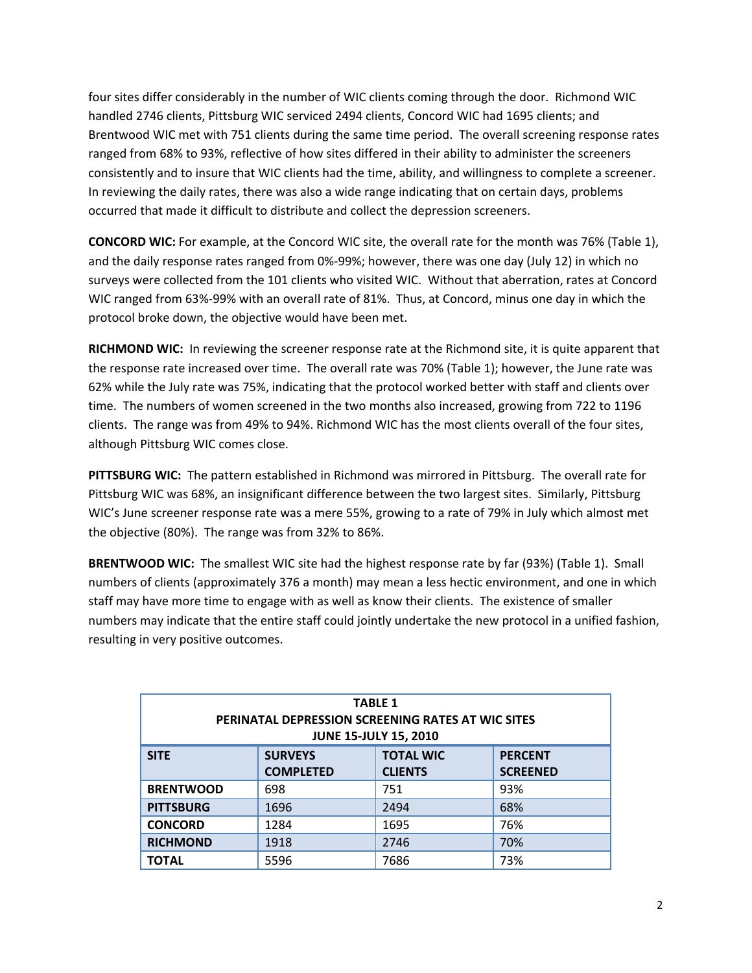four sites differ considerably in the number of WIC clients coming through the door. Richmond WIC handled 2746 clients, Pittsburg WIC serviced 2494 clients, Concord WIC had 1695 clients; and Brentwood WIC met with 751 clients during the same time period. The overall screening response rates ranged from 68% to 93%, reflective of how sites differed in their ability to administer the screeners consistently and to insure that WIC clients had the time, ability, and willingness to complete a screener. In reviewing the daily rates, there was also a wide range indicating that on certain days, problems occurred that made it difficult to distribute and collect the depression screeners.

**CONCORD WIC:** For example, at the Concord WIC site, the overall rate for the month was 76% (Table 1), and the daily response rates ranged from 0%‐99%; however, there was one day (July 12) in which no surveys were collected from the 101 clients who visited WIC. Without that aberration, rates at Concord WIC ranged from 63%‐99% with an overall rate of 81%. Thus, at Concord, minus one day in which the protocol broke down, the objective would have been met.

**RICHMOND WIC:** In reviewing the screener response rate at the Richmond site, it is quite apparent that the response rate increased over time. The overall rate was 70% (Table 1); however, the June rate was 62% while the July rate was 75%, indicating that the protocol worked better with staff and clients over time. The numbers of women screened in the two months also increased, growing from 722 to 1196 clients. The range was from 49% to 94%. Richmond WIC has the most clients overall of the four sites, although Pittsburg WIC comes close.

**PITTSBURG WIC:** The pattern established in Richmond was mirrored in Pittsburg. The overall rate for Pittsburg WIC was 68%, an insignificant difference between the two largest sites. Similarly, Pittsburg WIC's June screener response rate was a mere 55%, growing to a rate of 79% in July which almost met the objective (80%). The range was from 32% to 86%.

**BRENTWOOD WIC:** The smallest WIC site had the highest response rate by far (93%) (Table 1). Small numbers of clients (approximately 376 a month) may mean a less hectic environment, and one in which staff may have more time to engage with as well as know their clients. The existence of smaller numbers may indicate that the entire staff could jointly undertake the new protocol in a unified fashion, resulting in very positive outcomes.

| <b>TABLE 1</b><br>PERINATAL DEPRESSION SCREENING RATES AT WIC SITES<br><b>JUNE 15-JULY 15, 2010</b> |                  |                  |                 |
|-----------------------------------------------------------------------------------------------------|------------------|------------------|-----------------|
| <b>SITE</b>                                                                                         | <b>SURVEYS</b>   | <b>TOTAL WIC</b> | <b>PERCENT</b>  |
|                                                                                                     | <b>COMPLETED</b> | <b>CLIENTS</b>   | <b>SCREENED</b> |
| <b>BRENTWOOD</b>                                                                                    | 698              | 751              | 93%             |
| <b>PITTSBURG</b>                                                                                    | 1696             | 2494             | 68%             |
| <b>CONCORD</b>                                                                                      | 1284             | 1695             | 76%             |
| <b>RICHMOND</b>                                                                                     | 1918             | 2746             | 70%             |
| TOTAL                                                                                               | 5596             | 7686             | 73%             |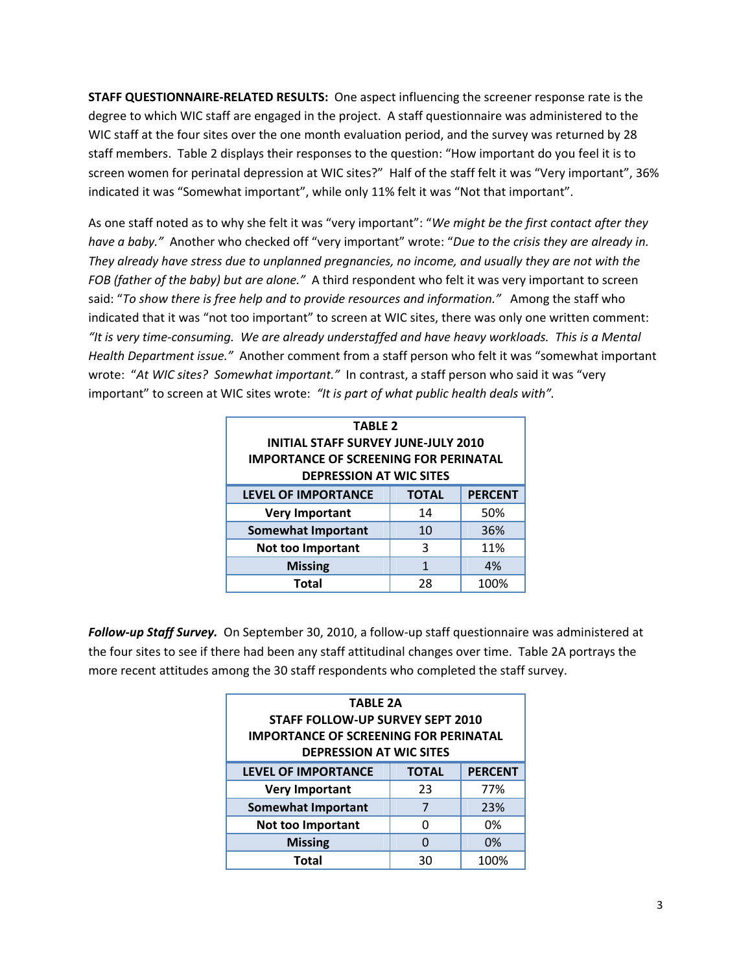**STAFF QUESTIONNAIRE‐RELATED RESULTS:** One aspect influencing the screener response rate is the degree to which WIC staff are engaged in the project. A staff questionnaire was administered to the WIC staff at the four sites over the one month evaluation period, and the survey was returned by 28 staff members. Table 2 displays their responses to the question: "How important do you feel it is to screen women for perinatal depression at WIC sites?" Half of the staff felt it was "Very important", 36% indicated it was "Somewhat important", while only 11% felt it was "Not that important".

As one staff noted as to why she felt it was "very important": "*We might be the first contact after they have a baby."* Another who checked off "very important" wrote: "*Due to the crisis they are already in. They already have stress due to unplanned pregnancies, no income, and usually they are not with the FOB (father of the baby) but are alone."* A third respondent who felt it was very important to screen said: "*To show there is free help and to provide resources and information."*  Among the staff who indicated that it was "not too important" to screen at WIC sites, there was only one written comment: "It is very time-consuming. We are already understaffed and have heavy workloads. This is a Mental *Health Department issue."* Another comment from a staff person who felt it was "somewhat important wrote: "*At WIC sites? Somewhat important."* In contrast, a staff person who said it was "very important" to screen at WIC sites wrote: *"It is part of what public health deals with".*

| <b>TABLE 2</b><br><b>INITIAL STAFF SURVEY JUNE-JULY 2010</b><br><b>IMPORTANCE OF SCREENING FOR PERINATAL</b><br><b>DEPRESSION AT WIC SITES</b> |              |                |  |
|------------------------------------------------------------------------------------------------------------------------------------------------|--------------|----------------|--|
| <b>LEVEL OF IMPORTANCE</b>                                                                                                                     | <b>TOTAL</b> | <b>PERCENT</b> |  |
| <b>Very Important</b>                                                                                                                          | 14           | 50%            |  |
| <b>Somewhat Important</b>                                                                                                                      | 10           | 36%            |  |
| Not too Important                                                                                                                              | 3            | 11%            |  |
| <b>Missing</b>                                                                                                                                 | 1            | 4%             |  |
| Total                                                                                                                                          | 28           | 100%           |  |

*Follow‐up Staff Survey.* On September 30, 2010, a follow‐up staff questionnaire was administered at the four sites to see if there had been any staff attitudinal changes over time. Table 2A portrays the more recent attitudes among the 30 staff respondents who completed the staff survey.

| <b>TABLE 2A</b><br>STAFF FOLLOW-UP SURVEY SEPT 2010                            |              |                |  |
|--------------------------------------------------------------------------------|--------------|----------------|--|
| <b>IMPORTANCE OF SCREENING FOR PERINATAL</b><br><b>DEPRESSION AT WIC SITES</b> |              |                |  |
| <b>LEVEL OF IMPORTANCE</b>                                                     | <b>TOTAL</b> | <b>PERCENT</b> |  |
| <b>Very Important</b>                                                          | 23           | 77%            |  |
| <b>Somewhat Important</b>                                                      | 7            | 23%            |  |
| Not too Important                                                              | O            | 0%             |  |
| <b>Missing</b>                                                                 | U            | 0%             |  |
| Total                                                                          | 30           | 100%           |  |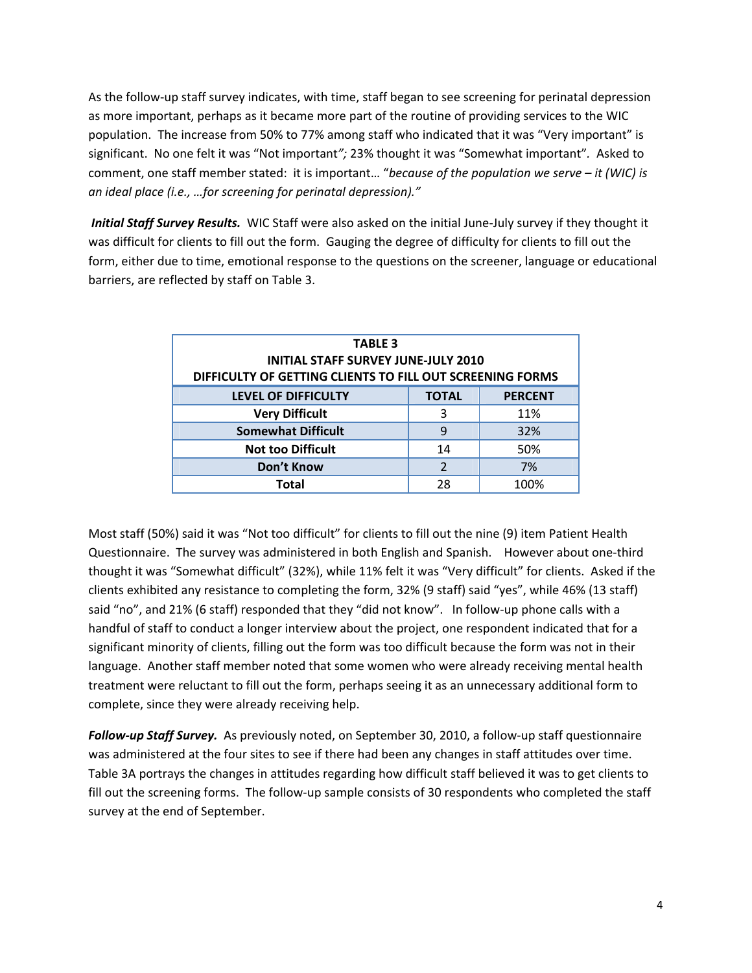As the follow‐up staff survey indicates, with time, staff began to see screening for perinatal depression as more important, perhaps as it became more part of the routine of providing services to the WIC population. The increase from 50% to 77% among staff who indicated that it was "Very important" is significant. No one felt it was "Not important*";* 23% thought it was "Somewhat important"*.* Asked to comment, one staff member stated: it is important… "*because of the population we serve – it (WIC) is an ideal place (i.e., …for screening for perinatal depression)."* 

*Initial Staff Survey Results.* WIC Staff were also asked on the initial June‐July survey if they thought it was difficult for clients to fill out the form. Gauging the degree of difficulty for clients to fill out the form, either due to time, emotional response to the questions on the screener, language or educational barriers, are reflected by staff on Table 3.

| <b>TABLE 3</b><br><b>INITIAL STAFF SURVEY JUNE-JULY 2010</b><br>DIFFICULTY OF GETTING CLIENTS TO FILL OUT SCREENING FORMS |              |                |  |
|---------------------------------------------------------------------------------------------------------------------------|--------------|----------------|--|
| <b>LEVEL OF DIFFICULTY</b>                                                                                                | <b>TOTAL</b> | <b>PERCENT</b> |  |
| <b>Very Difficult</b>                                                                                                     | 3            | 11%            |  |
| <b>Somewhat Difficult</b>                                                                                                 | 9            | 32%            |  |
| <b>Not too Difficult</b>                                                                                                  | 14           | 50%            |  |
| Don't Know                                                                                                                | 2            | 7%             |  |
| Total                                                                                                                     | 28           | 100%           |  |

Most staff (50%) said it was "Not too difficult" for clients to fill out the nine (9) item Patient Health Questionnaire. The survey was administered in both English and Spanish. However about one-third thought it was "Somewhat difficult" (32%), while 11% felt it was "Very difficult" for clients. Asked if the clients exhibited any resistance to completing the form, 32% (9 staff) said "yes", while 46% (13 staff) said "no", and 21% (6 staff) responded that they "did not know". In follow-up phone calls with a handful of staff to conduct a longer interview about the project, one respondent indicated that for a significant minority of clients, filling out the form was too difficult because the form was not in their language. Another staff member noted that some women who were already receiving mental health treatment were reluctant to fill out the form, perhaps seeing it as an unnecessary additional form to complete, since they were already receiving help.

*Follow‐up Staff Survey.* As previously noted, on September 30, 2010, a follow‐up staff questionnaire was administered at the four sites to see if there had been any changes in staff attitudes over time. Table 3A portrays the changes in attitudes regarding how difficult staff believed it was to get clients to fill out the screening forms. The follow-up sample consists of 30 respondents who completed the staff survey at the end of September.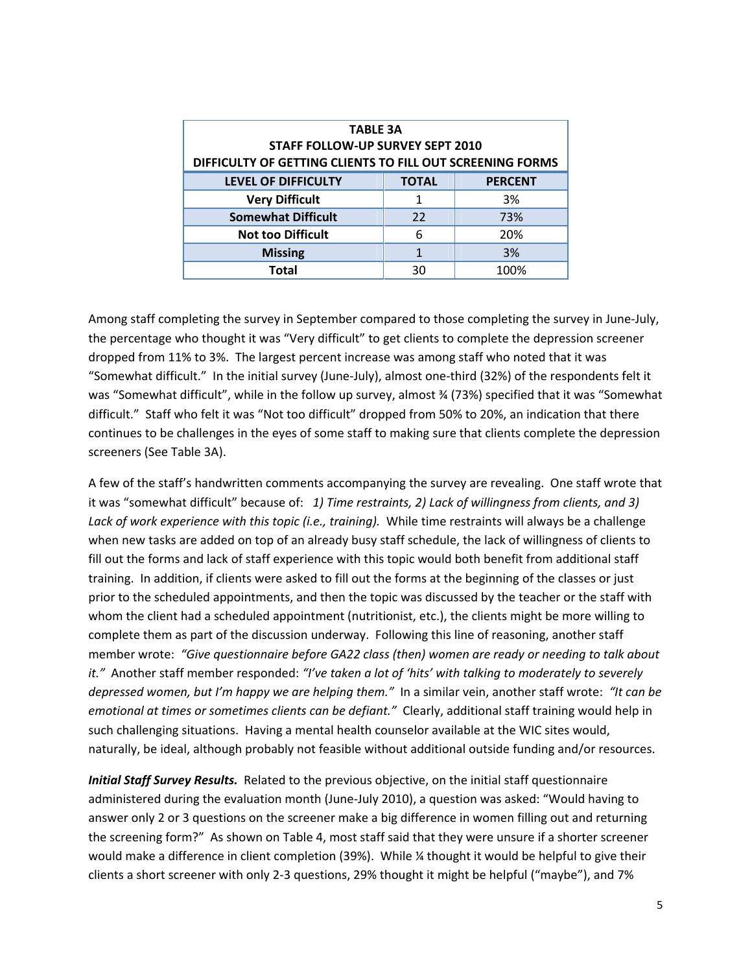| <b>TABLE 3A</b>                                           |              |                |  |  |
|-----------------------------------------------------------|--------------|----------------|--|--|
| STAFF FOLLOW-UP SURVEY SEPT 2010                          |              |                |  |  |
| DIFFICULTY OF GETTING CLIENTS TO FILL OUT SCREENING FORMS |              |                |  |  |
| <b>LEVEL OF DIFFICULTY</b>                                | <b>TOTAL</b> | <b>PERCENT</b> |  |  |
| <b>Very Difficult</b>                                     |              | 3%             |  |  |
| <b>Somewhat Difficult</b>                                 | 22           | 73%            |  |  |
| <b>Not too Difficult</b>                                  | 6            | 20%            |  |  |
| <b>Missing</b>                                            |              | 3%             |  |  |
| Total                                                     | 30           | 100%           |  |  |

Among staff completing the survey in September compared to those completing the survey in June‐July, the percentage who thought it was "Very difficult" to get clients to complete the depression screener dropped from 11% to 3%. The largest percent increase was among staff who noted that it was "Somewhat difficult." In the initial survey (June‐July), almost one‐third (32%) of the respondents felt it was "Somewhat difficult", while in the follow up survey, almost ¾ (73%) specified that it was "Somewhat difficult." Staff who felt it was "Not too difficult" dropped from 50% to 20%, an indication that there continues to be challenges in the eyes of some staff to making sure that clients complete the depression screeners (See Table 3A).

A few of the staff's handwritten comments accompanying the survey are revealing. One staff wrote that it was "somewhat difficult" because of: *1) Time restraints, 2) Lack of willingness from clients, and 3) Lack of work experience with this topic (i.e., training).* While time restraints will always be a challenge when new tasks are added on top of an already busy staff schedule, the lack of willingness of clients to fill out the forms and lack of staff experience with this topic would both benefit from additional staff training. In addition, if clients were asked to fill out the forms at the beginning of the classes or just prior to the scheduled appointments, and then the topic was discussed by the teacher or the staff with whom the client had a scheduled appointment (nutritionist, etc.), the clients might be more willing to complete them as part of the discussion underway. Following this line of reasoning, another staff member wrote: *"Give questionnaire before GA22 class (then) women are ready or needing to talk about it."* Another staff member responded: *"I've taken a lot of 'hits' with talking to moderately to severely depressed women, but I'm happy we are helping them."* In a similar vein, another staff wrote: *"It can be emotional at times or sometimes clients can be defiant."* Clearly, additional staff training would help in such challenging situations. Having a mental health counselor available at the WIC sites would, naturally, be ideal, although probably not feasible without additional outside funding and/or resources.

*Initial Staff Survey Results.* Related to the previous objective, on the initial staff questionnaire administered during the evaluation month (June‐July 2010), a question was asked: "Would having to answer only 2 or 3 questions on the screener make a big difference in women filling out and returning the screening form?" As shown on Table 4, most staff said that they were unsure if a shorter screener would make a difference in client completion (39%). While ¼ thought it would be helpful to give their clients a short screener with only 2‐3 questions, 29% thought it might be helpful ("maybe"), and 7%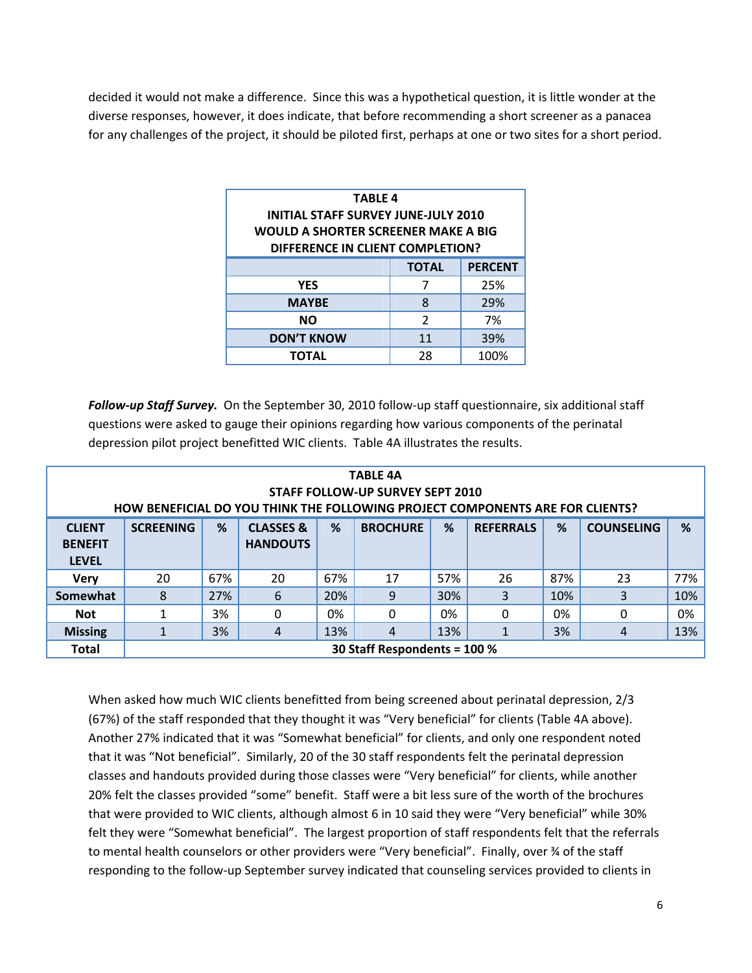decided it would not make a difference. Since this was a hypothetical question, it is little wonder at the diverse responses, however, it does indicate, that before recommending a short screener as a panacea for any challenges of the project, it should be piloted first, perhaps at one or two sites for a short period.

| <b>TABLE 4</b><br><b>INITIAL STAFF SURVEY JUNE-JULY 2010</b><br>WOULD A SHORTER SCREENER MAKE A BIG<br>DIFFERENCE IN CLIENT COMPLETION? |              |                |
|-----------------------------------------------------------------------------------------------------------------------------------------|--------------|----------------|
|                                                                                                                                         | <b>TOTAL</b> | <b>PERCENT</b> |
| <b>YES</b>                                                                                                                              |              | 25%            |
| <b>MAYBE</b>                                                                                                                            | 8            | 29%            |
| NΟ                                                                                                                                      | 2            | 7%             |
| <b>DON'T KNOW</b>                                                                                                                       | 11           | 39%            |
| <b>TOTAL</b>                                                                                                                            | 28           | 100%           |

*Follow‐up Staff Survey.* On the September 30, 2010 follow‐up staff questionnaire, six additional staff questions were asked to gauge their opinions regarding how various components of the perinatal depression pilot project benefitted WIC clients. Table 4A illustrates the results.

|                                              | <b>TABLE 4A</b>  |     |                                                                                      |     |                                  |     |                  |     |                   |     |
|----------------------------------------------|------------------|-----|--------------------------------------------------------------------------------------|-----|----------------------------------|-----|------------------|-----|-------------------|-----|
|                                              |                  |     | <b>HOW BENEFICIAL DO YOU THINK THE FOLLOWING PROJECT COMPONENTS ARE FOR CLIENTS?</b> |     | STAFF FOLLOW-UP SURVEY SEPT 2010 |     |                  |     |                   |     |
| <b>CLIENT</b>                                | <b>SCREENING</b> | %   | <b>CLASSES &amp;</b>                                                                 | %   | <b>BROCHURE</b>                  | %   | <b>REFERRALS</b> | %   | <b>COUNSELING</b> | %   |
| <b>BENEFIT</b>                               |                  |     | <b>HANDOUTS</b>                                                                      |     |                                  |     |                  |     |                   |     |
| <b>LEVEL</b>                                 |                  |     |                                                                                      |     |                                  |     |                  |     |                   |     |
| <b>Verv</b>                                  | 20               | 67% | 20                                                                                   | 67% | 17                               | 57% | 26               | 87% | 23                | 77% |
| Somewhat                                     | 8                | 27% | 6                                                                                    | 20% | 9                                | 30% | 3                | 10% | 3                 | 10% |
| <b>Not</b>                                   |                  | 3%  | 0                                                                                    | 0%  | $\Omega$                         | 0%  | 0                | 0%  | $\Omega$          | 0%  |
| <b>Missing</b>                               |                  | 3%  | 4                                                                                    | 13% | 4                                | 13% |                  | 3%  | 4                 | 13% |
| 30 Staff Respondents = 100 %<br><b>Total</b> |                  |     |                                                                                      |     |                                  |     |                  |     |                   |     |

When asked how much WIC clients benefitted from being screened about perinatal depression, 2/3 (67%) of the staff responded that they thought it was "Very beneficial" for clients (Table 4A above). Another 27% indicated that it was "Somewhat beneficial" for clients, and only one respondent noted that it was "Not beneficial". Similarly, 20 of the 30 staff respondents felt the perinatal depression classes and handouts provided during those classes were "Very beneficial" for clients, while another 20% felt the classes provided "some" benefit. Staff were a bit less sure of the worth of the brochures that were provided to WIC clients, although almost 6 in 10 said they were "Very beneficial" while 30% felt they were "Somewhat beneficial". The largest proportion of staff respondents felt that the referrals to mental health counselors or other providers were "Very beneficial". Finally, over ¾ of the staff responding to the follow‐up September survey indicated that counseling services provided to clients in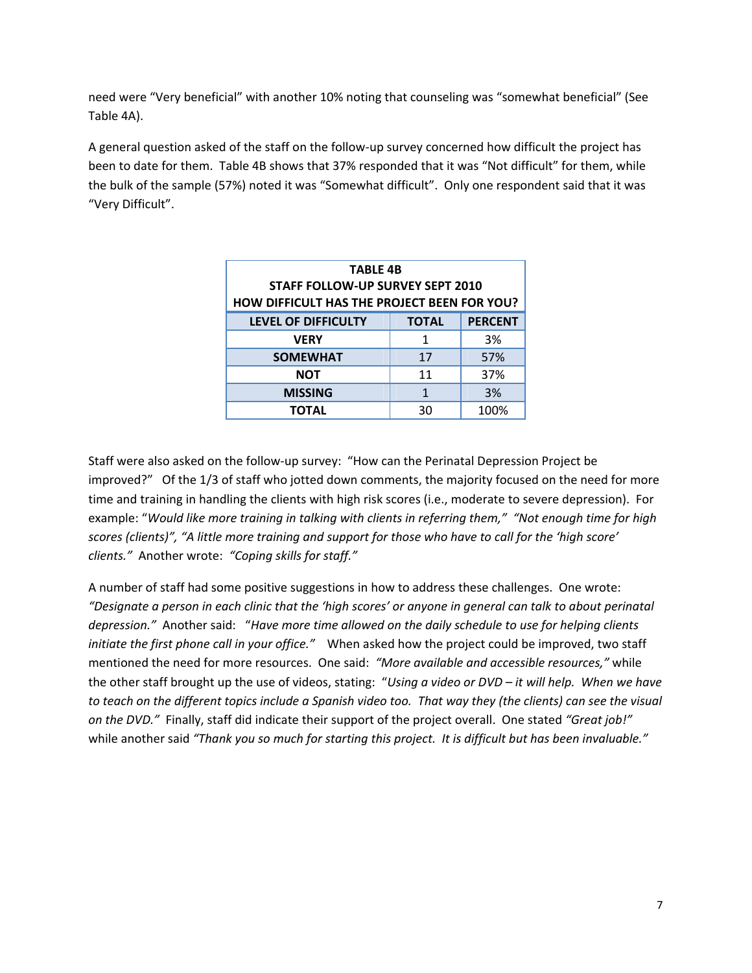need were "Very beneficial" with another 10% noting that counseling was "somewhat beneficial" (See Table 4A).

A general question asked of the staff on the follow‐up survey concerned how difficult the project has been to date for them. Table 4B shows that 37% responded that it was "Not difficult" for them, while the bulk of the sample (57%) noted it was "Somewhat difficult". Only one respondent said that it was "Very Difficult".

| <b>TABLE 4B</b><br>STAFF FOLLOW-UP SURVEY SEPT 2010<br><b>HOW DIFFICULT HAS THE PROJECT BEEN FOR YOU?</b> |              |                |
|-----------------------------------------------------------------------------------------------------------|--------------|----------------|
| <b>LEVEL OF DIFFICULTY</b>                                                                                | <b>TOTAL</b> | <b>PERCENT</b> |
| <b>VERY</b>                                                                                               | 1            | 3%             |
| <b>SOMEWHAT</b>                                                                                           | 17           | 57%            |
| <b>NOT</b>                                                                                                | 11           | 37%            |
| <b>MISSING</b>                                                                                            | 1            | 3%             |
| <b>TOTAL</b>                                                                                              | 30           | 100%           |

Staff were also asked on the follow-up survey: "How can the Perinatal Depression Project be improved?" Of the 1/3 of staff who jotted down comments, the majority focused on the need for more time and training in handling the clients with high risk scores (i.e., moderate to severe depression). For example: "*Would like more training in talking with clients in referring them," "Not enough time for high* scores (clients)", "A little more training and support for those who have to call for the 'high score' *clients."* Another wrote: *"Coping skills for staff."* 

A number of staff had some positive suggestions in how to address these challenges. One wrote: "Designate a person in each clinic that the 'high scores' or anyone in general can talk to about perinatal *depression."* Another said: "*Have more time allowed on the daily schedule to use for helping clients initiate the first phone call in your office."*  When asked how the project could be improved, two staff mentioned the need for more resources. One said: *"More available and accessible resources,"* while the other staff brought up the use of videos, stating: "*Using a video or DVD – it will help. When we have* to teach on the different topics include a Spanish video too. That way they (the clients) can see the visual *on the DVD."* Finally, staff did indicate their support of the project overall. One stated *"Great job!"* while another said *"Thank you so much for starting this project. It is difficult but has been invaluable."*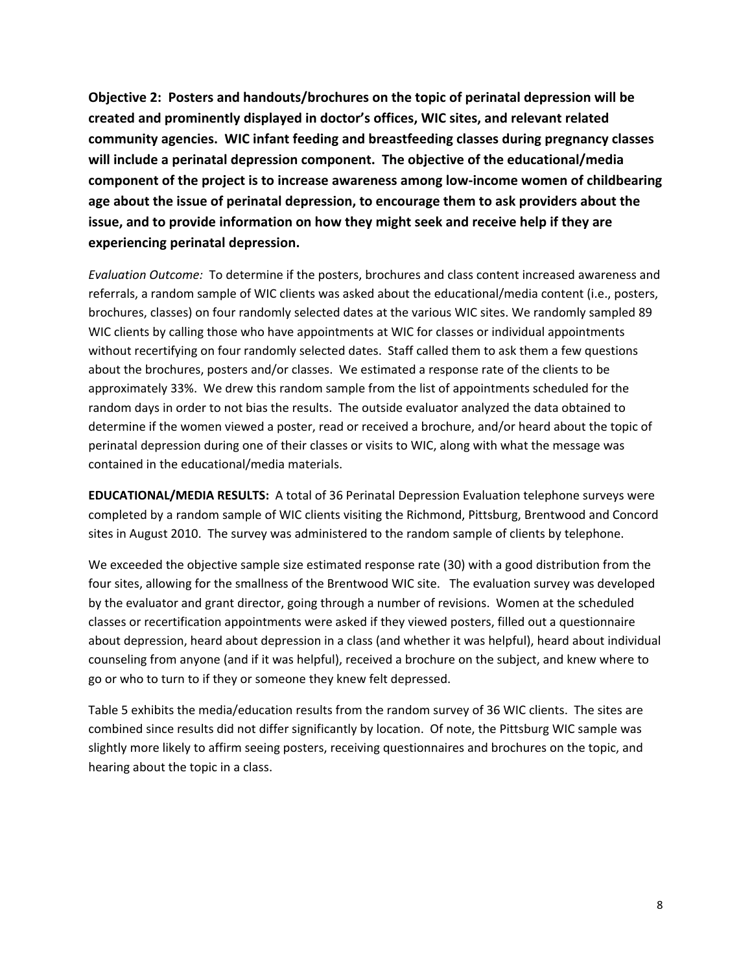**Objective 2: Posters and handouts/brochures on the topic of perinatal depression will be created and prominently displayed in doctor's offices, WIC sites, and relevant related community agencies. WIC infant feeding and breastfeeding classes during pregnancy classes will include a perinatal depression component. The objective of the educational/media component of the project is to increase awareness among low‐income women of childbearing age about the issue of perinatal depression, to encourage them to ask providers about the issue, and to provide information on how they might seek and receive help if they are experiencing perinatal depression.** 

*Evaluation Outcome:* To determine if the posters, brochures and class content increased awareness and referrals, a random sample of WIC clients was asked about the educational/media content (i.e., posters, brochures, classes) on four randomly selected dates at the various WIC sites. We randomly sampled 89 WIC clients by calling those who have appointments at WIC for classes or individual appointments without recertifying on four randomly selected dates. Staff called them to ask them a few questions about the brochures, posters and/or classes. We estimated a response rate of the clients to be approximately 33%. We drew this random sample from the list of appointments scheduled for the random days in order to not bias the results. The outside evaluator analyzed the data obtained to determine if the women viewed a poster, read or received a brochure, and/or heard about the topic of perinatal depression during one of their classes or visits to WIC, along with what the message was contained in the educational/media materials.

**EDUCATIONAL/MEDIA RESULTS:** A total of 36 Perinatal Depression Evaluation telephone surveys were completed by a random sample of WIC clients visiting the Richmond, Pittsburg, Brentwood and Concord sites in August 2010. The survey was administered to the random sample of clients by telephone.

We exceeded the objective sample size estimated response rate (30) with a good distribution from the four sites, allowing for the smallness of the Brentwood WIC site. The evaluation survey was developed by the evaluator and grant director, going through a number of revisions. Women at the scheduled classes or recertification appointments were asked if they viewed posters, filled out a questionnaire about depression, heard about depression in a class (and whether it was helpful), heard about individual counseling from anyone (and if it was helpful), received a brochure on the subject, and knew where to go or who to turn to if they or someone they knew felt depressed.

Table 5 exhibits the media/education results from the random survey of 36 WIC clients. The sites are combined since results did not differ significantly by location. Of note, the Pittsburg WIC sample was slightly more likely to affirm seeing posters, receiving questionnaires and brochures on the topic, and hearing about the topic in a class.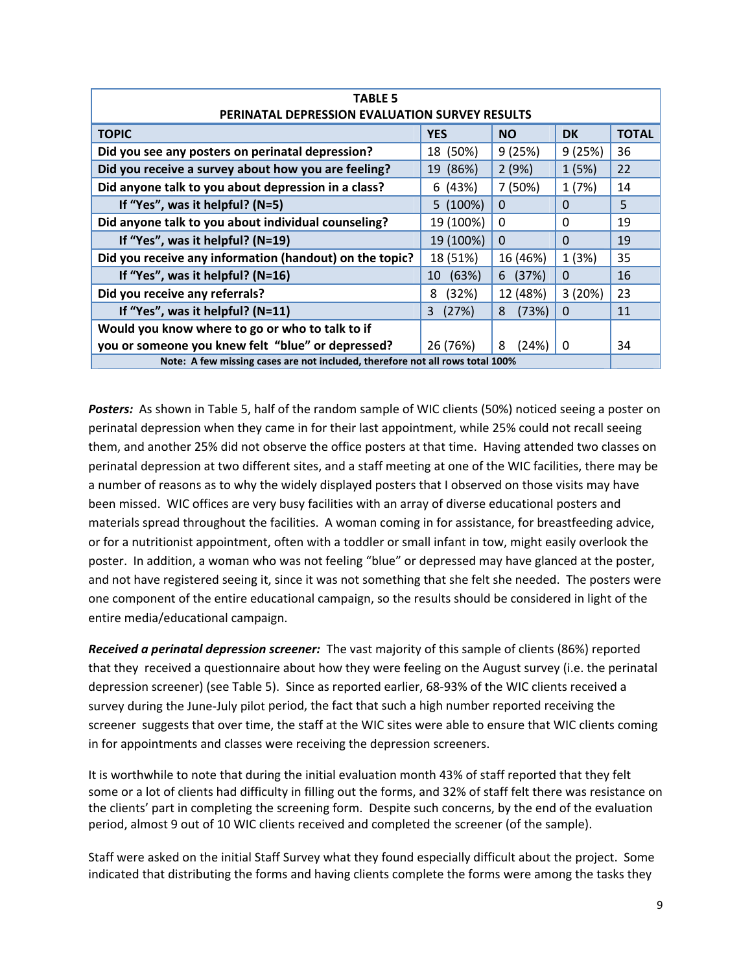| <b>TABLE 5</b>                                                                |             |            |           |              |
|-------------------------------------------------------------------------------|-------------|------------|-----------|--------------|
| PERINATAL DEPRESSION EVALUATION SURVEY RESULTS                                |             |            |           |              |
| <b>TOPIC</b>                                                                  | <b>YES</b>  | <b>NO</b>  | <b>DK</b> | <b>TOTAL</b> |
| Did you see any posters on perinatal depression?                              | 18 (50%)    | 9(25%)     | 9(25%)    | 36           |
| Did you receive a survey about how you are feeling?                           | 19 (86%)    | 2(9%)      | 1(5%)     | 22           |
| Did anyone talk to you about depression in a class?                           | 6(43%)      | 7 (50%)    | 1(7%)     | 14           |
| If "Yes", was it helpful? $(N=5)$                                             | 5(100%)     | $\Omega$   | $\Omega$  | 5.           |
| Did anyone talk to you about individual counseling?                           | 19 (100%)   | $\Omega$   | $\Omega$  | 19           |
| If "Yes", was it helpful? (N=19)                                              | 19 (100%)   | $\Omega$   | $\Omega$  | 19           |
| Did you receive any information (handout) on the topic?                       | 18 (51%)    | 16 (46%)   | 1(3%)     | 35           |
| If "Yes", was it helpful? ( $N=16$ )                                          | (63%)<br>10 | 6(37%)     | $\Omega$  | 16           |
| Did you receive any referrals?                                                | (32%)<br>8  | 12 (48%)   | 3(20%)    | 23           |
| If "Yes", was it helpful? (N=11)                                              | (27%)<br>3  | (73%)<br>8 | $\Omega$  | 11           |
| Would you know where to go or who to talk to if                               |             |            |           |              |
| you or someone you knew felt "blue" or depressed?                             | 26 (76%)    | 8<br>(24%) | $\Omega$  | 34           |
| Note: A few missing cases are not included, therefore not all rows total 100% |             |            |           |              |

Posters: As shown in Table 5, half of the random sample of WIC clients (50%) noticed seeing a poster on perinatal depression when they came in for their last appointment, while 25% could not recall seeing them, and another 25% did not observe the office posters at that time. Having attended two classes on perinatal depression at two different sites, and a staff meeting at one of the WIC facilities, there may be a number of reasons as to why the widely displayed posters that I observed on those visits may have been missed. WIC offices are very busy facilities with an array of diverse educational posters and materials spread throughout the facilities. A woman coming in for assistance, for breastfeeding advice, or for a nutritionist appointment, often with a toddler or small infant in tow, might easily overlook the poster. In addition, a woman who was not feeling "blue" or depressed may have glanced at the poster, and not have registered seeing it, since it was not something that she felt she needed. The posters were one component of the entire educational campaign, so the results should be considered in light of the entire media/educational campaign.

*Received a perinatal depression screener:* The vast majority of this sample of clients (86%) reported that they received a questionnaire about how they were feeling on the August survey (i.e. the perinatal depression screener) (see Table 5). Since as reported earlier, 68‐93% of the WIC clients received a survey during the June‐July pilot period, the fact that such a high number reported receiving the screener suggests that over time, the staff at the WIC sites were able to ensure that WIC clients coming in for appointments and classes were receiving the depression screeners.

It is worthwhile to note that during the initial evaluation month 43% of staff reported that they felt some or a lot of clients had difficulty in filling out the forms, and 32% of staff felt there was resistance on the clients' part in completing the screening form. Despite such concerns, by the end of the evaluation period, almost 9 out of 10 WIC clients received and completed the screener (of the sample).

Staff were asked on the initial Staff Survey what they found especially difficult about the project. Some indicated that distributing the forms and having clients complete the forms were among the tasks they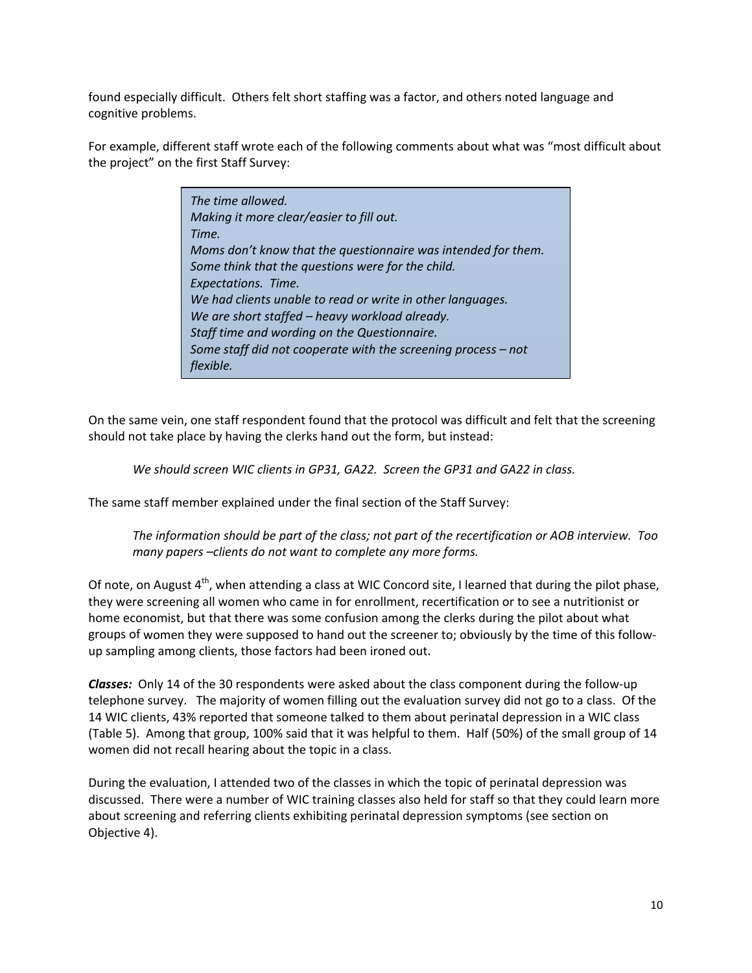found especially difficult. Others felt short staffing was a factor, and others noted language and cognitive problems.

For example, different staff wrote each of the following comments about what was "most difficult about the project" on the first Staff Survey:

| The time allowed.                                             |
|---------------------------------------------------------------|
| Making it more clear/easier to fill out.                      |
| Time.                                                         |
| Moms don't know that the questionnaire was intended for them. |
| Some think that the questions were for the child.             |
| Expectations. Time.                                           |
| We had clients unable to read or write in other languages.    |
| We are short staffed - heavy workload already.                |
| Staff time and wording on the Questionnaire.                  |
| Some staff did not cooperate with the screening process - not |
| flexible.                                                     |

On the same vein, one staff respondent found that the protocol was difficult and felt that the screening should not take place by having the clerks hand out the form, but instead:

*We should screen WIC clients in GP31, GA22. Screen the GP31 and GA22 in class.*

The same staff member explained under the final section of the Staff Survey:

The information should be part of the class; not part of the recertification or AOB interview. Too *many papers –clients do not want to complete any more forms.*

Of note, on August 4<sup>th</sup>, when attending a class at WIC Concord site, I learned that during the pilot phase, they were screening all women who came in for enrollment, recertification or to see a nutritionist or home economist, but that there was some confusion among the clerks during the pilot about what groups of women they were supposed to hand out the screener to; obviously by the time of this follow‐ up sampling among clients, those factors had been ironed out.

*Classes:* Only 14 of the 30 respondents were asked about the class component during the follow-up telephone survey. The majority of women filling out the evaluation survey did not go to a class. Of the 14 WIC clients, 43% reported that someone talked to them about perinatal depression in a WIC class (Table 5). Among that group, 100% said that it was helpful to them. Half (50%) of the small group of 14 women did not recall hearing about the topic in a class.

During the evaluation, I attended two of the classes in which the topic of perinatal depression was discussed. There were a number of WIC training classes also held for staff so that they could learn more about screening and referring clients exhibiting perinatal depression symptoms (see section on Objective 4).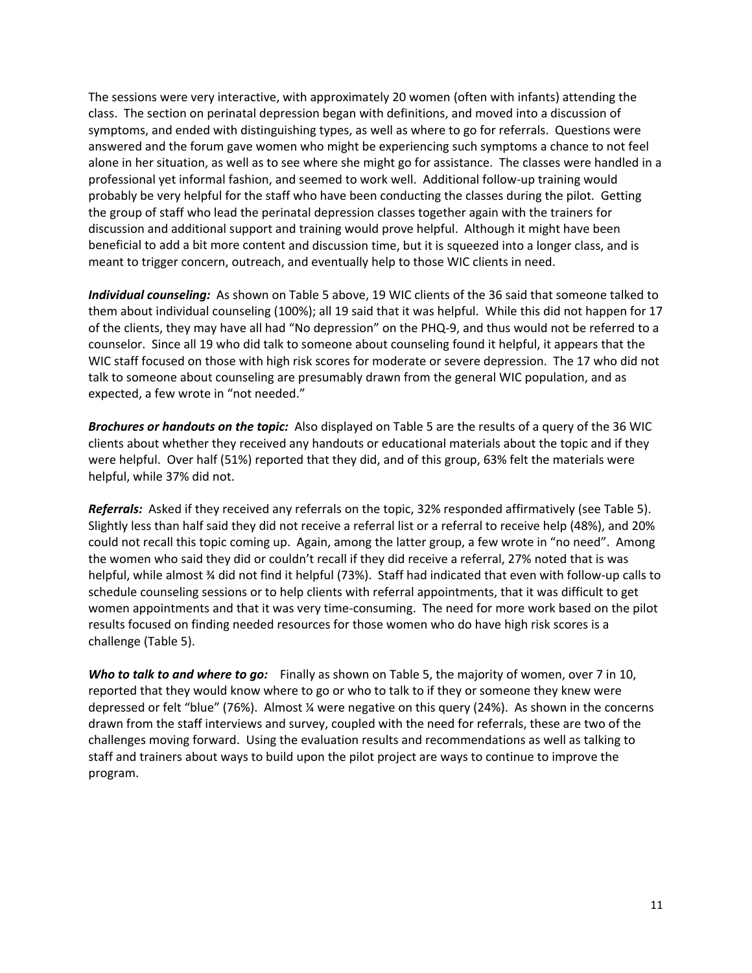The sessions were very interactive, with approximately 20 women (often with infants) attending the class. The section on perinatal depression began with definitions, and moved into a discussion of symptoms, and ended with distinguishing types, as well as where to go for referrals. Questions were answered and the forum gave women who might be experiencing such symptoms a chance to not feel alone in her situation, as well as to see where she might go for assistance. The classes were handled in a professional yet informal fashion, and seemed to work well. Additional follow‐up training would probably be very helpful for the staff who have been conducting the classes during the pilot. Getting the group of staff who lead the perinatal depression classes together again with the trainers for discussion and additional support and training would prove helpful. Although it might have been beneficial to add a bit more content and discussion time, but it is squeezed into a longer class, and is meant to trigger concern, outreach, and eventually help to those WIC clients in need.

*Individual counseling:* As shown on Table 5 above, 19 WIC clients of the 36 said that someone talked to them about individual counseling (100%); all 19 said that it was helpful. While this did not happen for 17 of the clients, they may have all had "No depression" on the PHQ‐9, and thus would not be referred to a counselor. Since all 19 who did talk to someone about counseling found it helpful, it appears that the WIC staff focused on those with high risk scores for moderate or severe depression. The 17 who did not talk to someone about counseling are presumably drawn from the general WIC population, and as expected, a few wrote in "not needed."

*Brochures or handouts on the topic:* Also displayed on Table 5 are the results of a query of the 36 WIC clients about whether they received any handouts or educational materials about the topic and if they were helpful. Over half (51%) reported that they did, and of this group, 63% felt the materials were helpful, while 37% did not.

*Referrals:* Asked if they received any referrals on the topic, 32% responded affirmatively (see Table 5). Slightly less than half said they did not receive a referral list or a referral to receive help (48%), and 20% could not recall this topic coming up. Again, among the latter group, a few wrote in "no need". Among the women who said they did or couldn't recall if they did receive a referral, 27% noted that is was helpful, while almost ¾ did not find it helpful (73%). Staff had indicated that even with follow‐up calls to schedule counseling sessions or to help clients with referral appointments, that it was difficult to get women appointments and that it was very time‐consuming. The need for more work based on the pilot results focused on finding needed resources for those women who do have high risk scores is a challenge (Table 5).

*Who to talk to and where to go:*  Finally as shown on Table 5, the majority of women, over 7 in 10, reported that they would know where to go or who to talk to if they or someone they knew were depressed or felt "blue" (76%). Almost ¼ were negative on this query (24%). As shown in the concerns drawn from the staff interviews and survey, coupled with the need for referrals, these are two of the challenges moving forward. Using the evaluation results and recommendations as well as talking to staff and trainers about ways to build upon the pilot project are ways to continue to improve the program.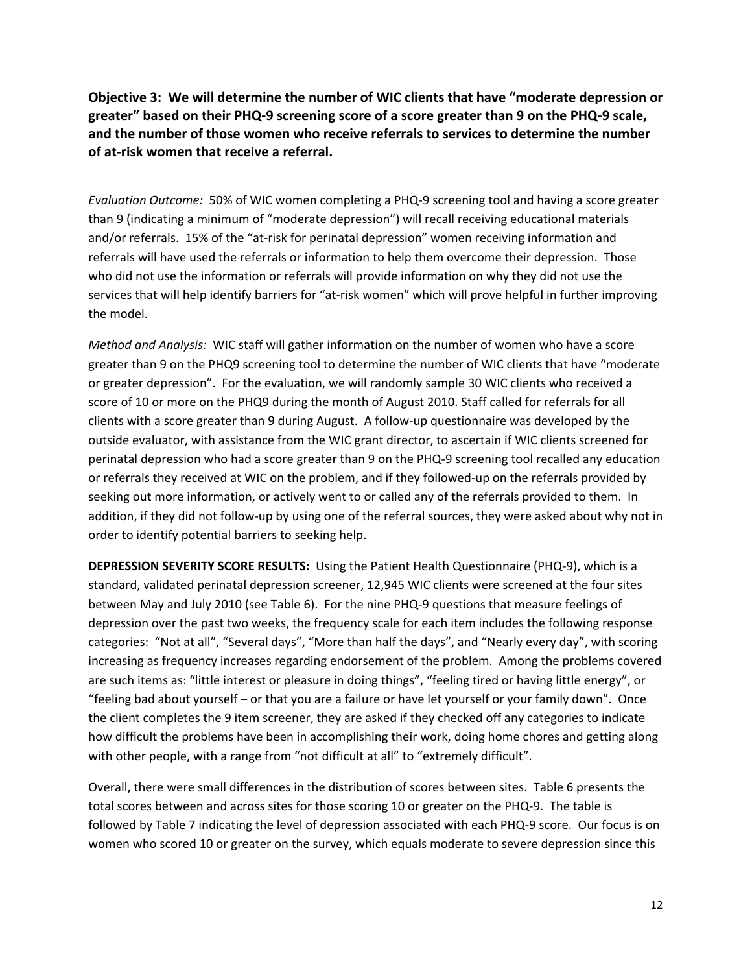**Objective 3: We will determine the number of WIC clients that have "moderate depression or** greater" based on their PHQ-9 screening score of a score greater than 9 on the PHQ-9 scale, **and the number of those women who receive referrals to services to determine the number of at‐risk women that receive a referral.**

*Evaluation Outcome:* 50% of WIC women completing a PHQ‐9 screening tool and having a score greater than 9 (indicating a minimum of "moderate depression") will recall receiving educational materials and/or referrals. 15% of the "at-risk for perinatal depression" women receiving information and referrals will have used the referrals or information to help them overcome their depression. Those who did not use the information or referrals will provide information on why they did not use the services that will help identify barriers for "at-risk women" which will prove helpful in further improving the model.

*Method and Analysis:* WIC staff will gather information on the number of women who have a score greater than 9 on the PHQ9 screening tool to determine the number of WIC clients that have "moderate or greater depression". For the evaluation, we will randomly sample 30 WIC clients who received a score of 10 or more on the PHQ9 during the month of August 2010. Staff called for referrals for all clients with a score greater than 9 during August. A follow‐up questionnaire was developed by the outside evaluator, with assistance from the WIC grant director, to ascertain if WIC clients screened for perinatal depression who had a score greater than 9 on the PHQ‐9 screening tool recalled any education or referrals they received at WIC on the problem, and if they followed-up on the referrals provided by seeking out more information, or actively went to or called any of the referrals provided to them. In addition, if they did not follow-up by using one of the referral sources, they were asked about why not in order to identify potential barriers to seeking help.

**DEPRESSION SEVERITY SCORE RESULTS:** Using the Patient Health Questionnaire (PHQ‐9), which is a standard, validated perinatal depression screener, 12,945 WIC clients were screened at the four sites between May and July 2010 (see Table 6). For the nine PHQ‐9 questions that measure feelings of depression over the past two weeks, the frequency scale for each item includes the following response categories: "Not at all", "Several days", "More than half the days", and "Nearly every day", with scoring increasing as frequency increases regarding endorsement of the problem. Among the problems covered are such items as: "little interest or pleasure in doing things", "feeling tired or having little energy", or "feeling bad about yourself – or that you are a failure or have let yourself or your family down". Once the client completes the 9 item screener, they are asked if they checked off any categories to indicate how difficult the problems have been in accomplishing their work, doing home chores and getting along with other people, with a range from "not difficult at all" to "extremely difficult".

Overall, there were small differences in the distribution of scores between sites. Table 6 presents the total scores between and across sites for those scoring 10 or greater on the PHQ‐9. The table is followed by Table 7 indicating the level of depression associated with each PHQ‐9 score. Our focus is on women who scored 10 or greater on the survey, which equals moderate to severe depression since this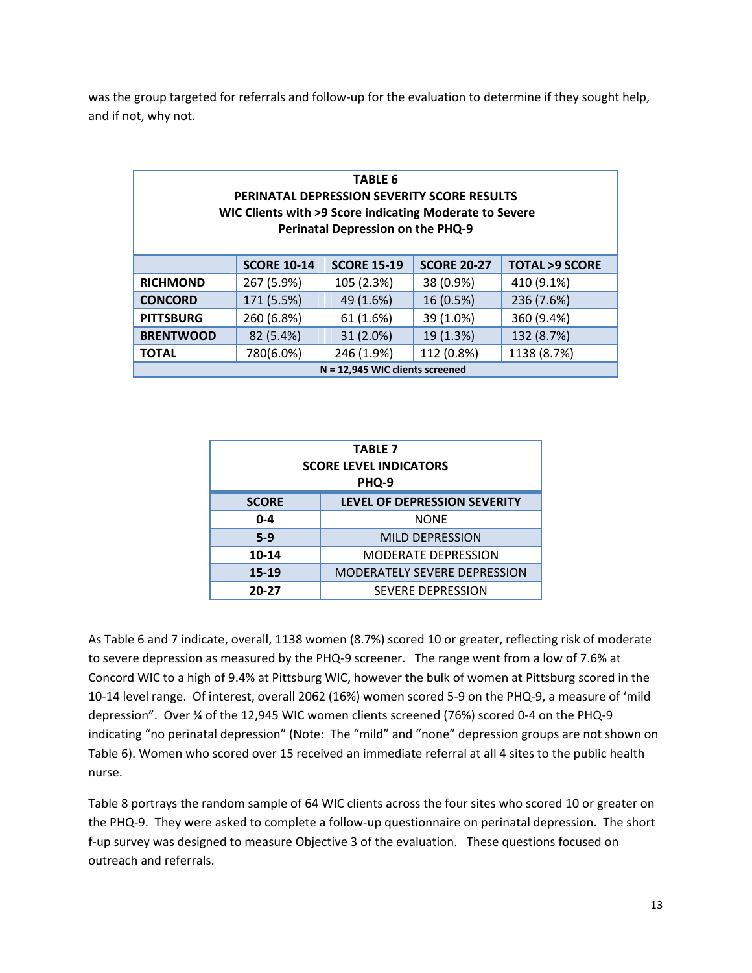was the group targeted for referrals and follow-up for the evaluation to determine if they sought help, and if not, why not.

| <b>TABLE 6</b><br>PERINATAL DEPRESSION SEVERITY SCORE RESULTS<br>WIC Clients with >9 Score indicating Moderate to Severe<br>Perinatal Depression on the PHQ-9 |                    |                    |                    |                          |  |  |
|---------------------------------------------------------------------------------------------------------------------------------------------------------------|--------------------|--------------------|--------------------|--------------------------|--|--|
|                                                                                                                                                               | <b>SCORE 10-14</b> | <b>SCORE 15-19</b> | <b>SCORE 20-27</b> | <b>TOTAL &gt;9 SCORE</b> |  |  |
| <b>RICHMOND</b>                                                                                                                                               | 267 (5.9%)         | 105 (2.3%)         | 38 (0.9%)          | 410 (9.1%)               |  |  |
| <b>CONCORD</b>                                                                                                                                                | 171 (5.5%)         | 49 (1.6%)          | 16 (0.5%)          | 236 (7.6%)               |  |  |
| <b>PITTSBURG</b>                                                                                                                                              | 260 (6.8%)         | 61 (1.6%)          | 39 (1.0%)          | 360 (9.4%)               |  |  |
| 132 (8.7%)<br><b>BRENTWOOD</b><br>82 (5.4%)<br>19 (1.3%)<br>31 (2.0%)                                                                                         |                    |                    |                    |                          |  |  |
| 112 (0.8%)<br>780(6.0%)<br>246 (1.9%)<br>1138 (8.7%)<br><b>TOTAL</b>                                                                                          |                    |                    |                    |                          |  |  |
| $N = 12,945$ WIC clients screened                                                                                                                             |                    |                    |                    |                          |  |  |

| <b>TABLE 7</b><br><b>SCORE LEVEL INDICATORS</b><br>PHQ-9 |                                     |  |  |
|----------------------------------------------------------|-------------------------------------|--|--|
| <b>SCORE</b>                                             | LEVEL OF DEPRESSION SEVERITY        |  |  |
| $0 - 4$                                                  | <b>NONE</b>                         |  |  |
| $5-9$                                                    | <b>MILD DEPRESSION</b>              |  |  |
| 10-14                                                    | <b>MODERATE DEPRESSION</b>          |  |  |
| 15-19                                                    | <b>MODERATELY SEVERE DEPRESSION</b> |  |  |
| 20-27                                                    | <b>SEVERE DEPRESSION</b>            |  |  |

As Table 6 and 7 indicate, overall, 1138 women (8.7%) scored 10 or greater, reflecting risk of moderate to severe depression as measured by the PHQ‐9 screener. The range went from a low of 7.6% at Concord WIC to a high of 9.4% at Pittsburg WIC, however the bulk of women at Pittsburg scored in the 10‐14 level range. Of interest, overall 2062 (16%) women scored 5‐9 on the PHQ‐9, a measure of 'mild depression". Over ¾ of the 12,945 WIC women clients screened (76%) scored 0-4 on the PHQ-9 indicating "no perinatal depression" (Note: The "mild" and "none" depression groups are not shown on Table 6). Women who scored over 15 received an immediate referral at all 4 sites to the public health nurse.

Table 8 portrays the random sample of 64 WIC clients across the four sites who scored 10 or greater on the PHQ‐9. They were asked to complete a follow‐up questionnaire on perinatal depression. The short f-up survey was designed to measure Objective 3 of the evaluation. These questions focused on outreach and referrals.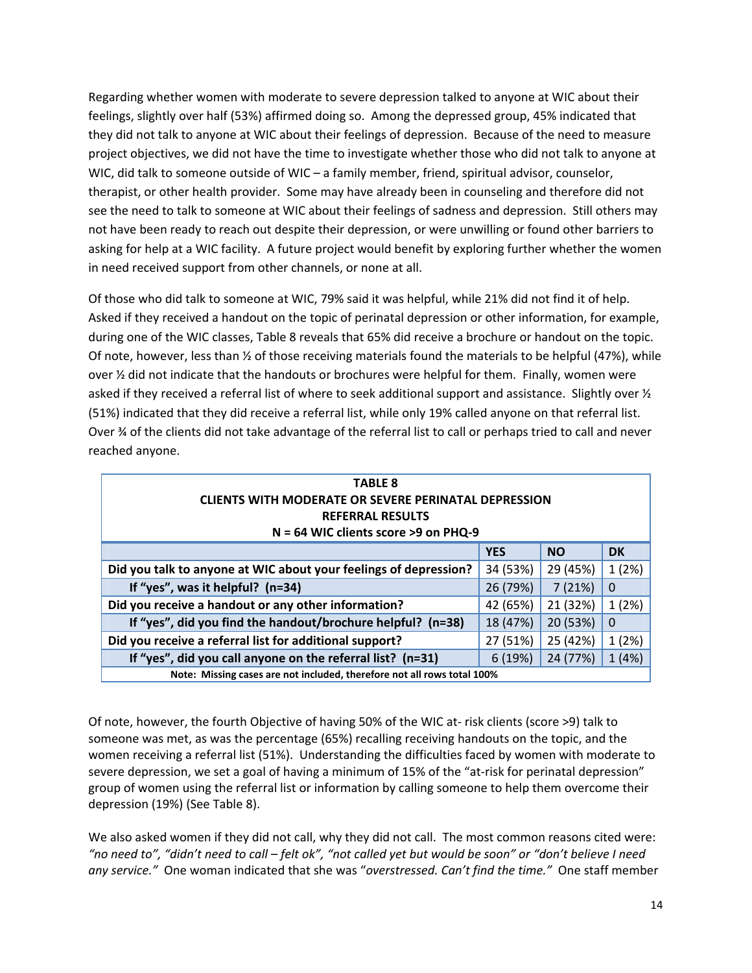Regarding whether women with moderate to severe depression talked to anyone at WIC about their feelings, slightly over half (53%) affirmed doing so. Among the depressed group, 45% indicated that they did not talk to anyone at WIC about their feelings of depression. Because of the need to measure project objectives, we did not have the time to investigate whether those who did not talk to anyone at WIC, did talk to someone outside of WIC – a family member, friend, spiritual advisor, counselor, therapist, or other health provider. Some may have already been in counseling and therefore did not see the need to talk to someone at WIC about their feelings of sadness and depression. Still others may not have been ready to reach out despite their depression, or were unwilling or found other barriers to asking for help at a WIC facility. A future project would benefit by exploring further whether the women in need received support from other channels, or none at all.

Of those who did talk to someone at WIC, 79% said it was helpful, while 21% did not find it of help. Asked if they received a handout on the topic of perinatal depression or other information, for example, during one of the WIC classes, Table 8 reveals that 65% did receive a brochure or handout on the topic. Of note, however, less than  $\frac{1}{2}$  of those receiving materials found the materials to be helpful (47%), while over ½ did not indicate that the handouts or brochures were helpful for them. Finally, women were asked if they received a referral list of where to seek additional support and assistance. Slightly over  $\frac{1}{2}$ (51%) indicated that they did receive a referral list, while only 19% called anyone on that referral list. Over ¾ of the clients did not take advantage of the referral list to call or perhaps tried to call and never reached anyone.

| <b>TABLE 8</b><br><b>CLIENTS WITH MODERATE OR SEVERE PERINATAL DEPRESSION</b><br><b>REFERRAL RESULTS</b><br>$N = 64$ WIC clients score >9 on PHQ-9 |            |           |           |  |
|----------------------------------------------------------------------------------------------------------------------------------------------------|------------|-----------|-----------|--|
|                                                                                                                                                    | <b>YES</b> | <b>NO</b> | <b>DK</b> |  |
| Did you talk to anyone at WIC about your feelings of depression?                                                                                   | 34 (53%)   | 29 (45%)  | 1(2%)     |  |
| If "yes", was it helpful? $(n=34)$                                                                                                                 | 26 (79%)   | 7(21%)    | $\Omega$  |  |
| Did you receive a handout or any other information?                                                                                                | 42 (65%)   | 21 (32%)  | 1(2%)     |  |
| If "yes", did you find the handout/brochure helpful? (n=38)                                                                                        | 18 (47%)   | 20 (53%)  | $\Omega$  |  |
| Did you receive a referral list for additional support?                                                                                            | 27 (51%)   | 25 (42%)  | 1(2%)     |  |
| If "yes", did you call anyone on the referral list? (n=31)                                                                                         | 6 (19%)    | 24 (77%)  | 1(4%)     |  |
| Note: Missing cases are not included, therefore not all rows total 100%                                                                            |            |           |           |  |

Of note, however, the fourth Objective of having 50% of the WIC at-risk clients (score >9) talk to someone was met, as was the percentage (65%) recalling receiving handouts on the topic, and the women receiving a referral list (51%). Understanding the difficulties faced by women with moderate to severe depression, we set a goal of having a minimum of 15% of the "at-risk for perinatal depression" group of women using the referral list or information by calling someone to help them overcome their depression (19%) (See Table 8).

We also asked women if they did not call, why they did not call. The most common reasons cited were: "no need to", "didn't need to call - felt ok", "not called yet but would be soon" or "don't believe I need *any service."* One woman indicated that she was "*overstressed. Can't find the time."* One staff member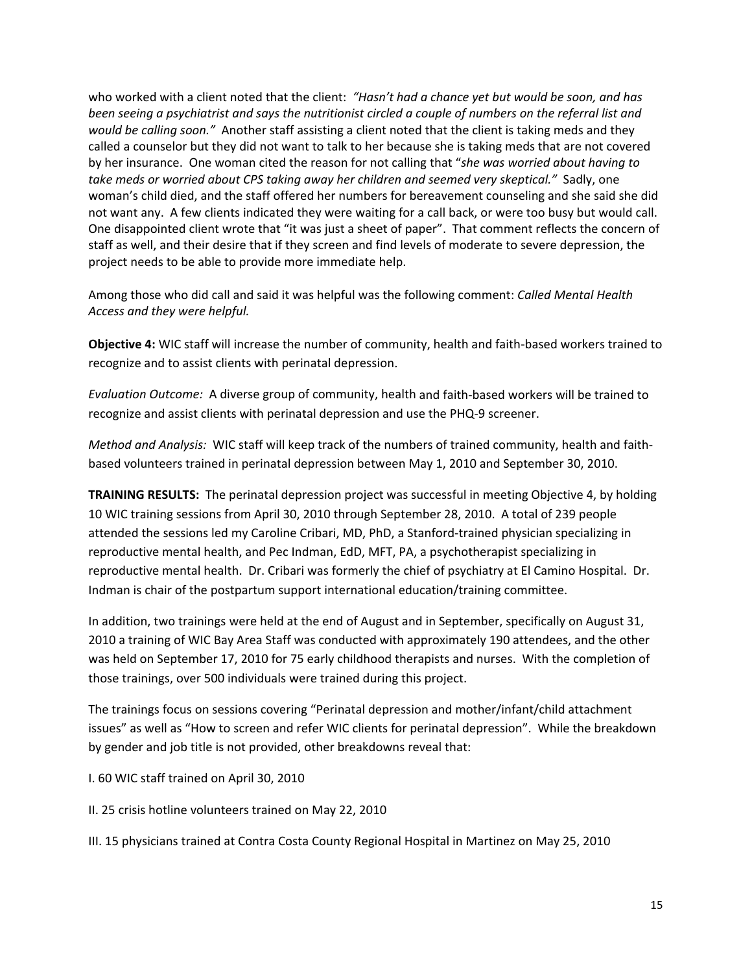who worked with a client noted that the client: *"Hasn't had a chance yet but would be soon, and has* been seeing a psychiatrist and says the nutritionist circled a couple of numbers on the referral list and *would be calling soon."* Another staff assisting a client noted that the client is taking meds and they called a counselor but they did not want to talk to her because she is taking meds that are not covered by her insurance. One woman cited the reason for not calling that "*she was worried about having to take meds or worried about CPS taking away her children and seemed very skeptical."* Sadly, one woman's child died, and the staff offered her numbers for bereavement counseling and she said she did not want any. A few clients indicated they were waiting for a call back, or were too busy but would call. One disappointed client wrote that "it was just a sheet of paper". That comment reflects the concern of staff as well, and their desire that if they screen and find levels of moderate to severe depression, the project needs to be able to provide more immediate help.

Among those who did call and said it was helpful was the following comment: *Called Mental Health Access and they were helpful.* 

**Objective 4:** WIC staff will increase the number of community, health and faith‐based workers trained to recognize and to assist clients with perinatal depression.

*Evaluation Outcome:* A diverse group of community, health and faith‐based workers will be trained to recognize and assist clients with perinatal depression and use the PHQ‐9 screener.

*Method and Analysis:* WIC staff will keep track of the numbers of trained community, health and faith‐ based volunteers trained in perinatal depression between May 1, 2010 and September 30, 2010.

**TRAINING RESULTS:** The perinatal depression project was successful in meeting Objective 4, by holding 10 WIC training sessions from April 30, 2010 through September 28, 2010. A total of 239 people attended the sessions led my Caroline Cribari, MD, PhD, a Stanford‐trained physician specializing in reproductive mental health, and Pec Indman, EdD, MFT, PA, a psychotherapist specializing in reproductive mental health. Dr. Cribari was formerly the chief of psychiatry at El Camino Hospital. Dr. Indman is chair of the postpartum support international education/training committee.

In addition, two trainings were held at the end of August and in September, specifically on August 31, 2010 a training of WIC Bay Area Staff was conducted with approximately 190 attendees, and the other was held on September 17, 2010 for 75 early childhood therapists and nurses. With the completion of those trainings, over 500 individuals were trained during this project.

The trainings focus on sessions covering "Perinatal depression and mother/infant/child attachment issues" as well as "How to screen and refer WIC clients for perinatal depression". While the breakdown by gender and job title is not provided, other breakdowns reveal that:

I. 60 WIC staff trained on April 30, 2010

II. 25 crisis hotline volunteers trained on May 22, 2010

III. 15 physicians trained at Contra Costa County Regional Hospital in Martinez on May 25, 2010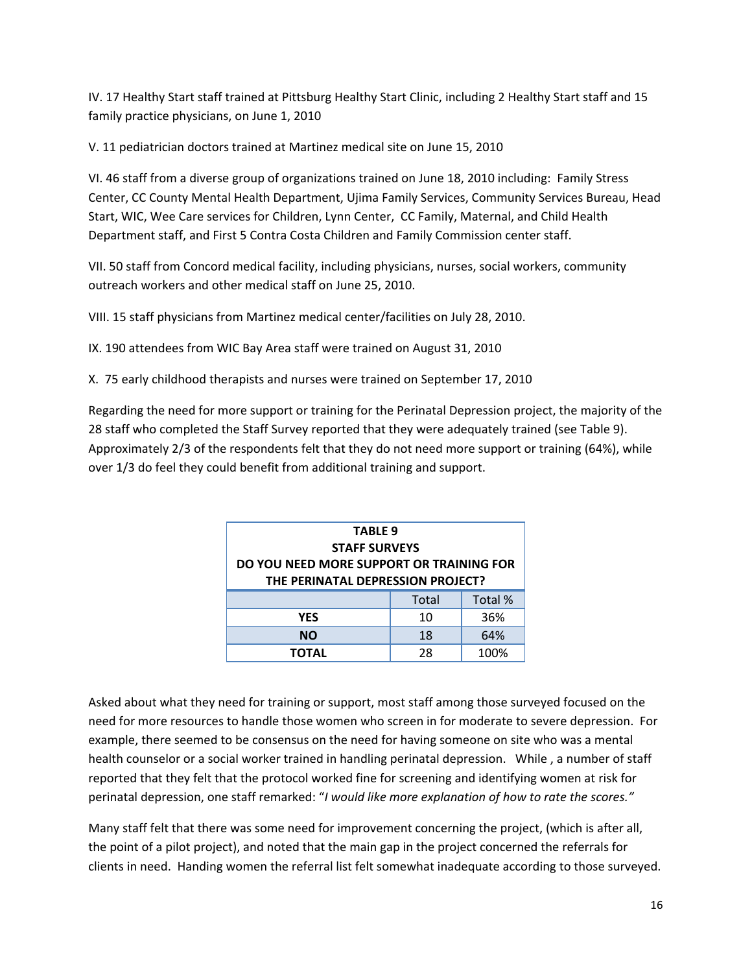IV. 17 Healthy Start staff trained at Pittsburg Healthy Start Clinic, including 2 Healthy Start staff and 15 family practice physicians, on June 1, 2010

V. 11 pediatrician doctors trained at Martinez medical site on June 15, 2010

VI. 46 staff from a diverse group of organizations trained on June 18, 2010 including: Family Stress Center, CC County Mental Health Department, Ujima Family Services, Community Services Bureau, Head Start, WIC, Wee Care services for Children, Lynn Center, CC Family, Maternal, and Child Health Department staff, and First 5 Contra Costa Children and Family Commission center staff.

VII. 50 staff from Concord medical facility, including physicians, nurses, social workers, community outreach workers and other medical staff on June 25, 2010.

VIII. 15 staff physicians from Martinez medical center/facilities on July 28, 2010.

IX. 190 attendees from WIC Bay Area staff were trained on August 31, 2010

X. 75 early childhood therapists and nurses were trained on September 17, 2010

Regarding the need for more support or training for the Perinatal Depression project, the majority of the 28 staff who completed the Staff Survey reported that they were adequately trained (see Table 9). Approximately 2/3 of the respondents felt that they do not need more support or training (64%), while over 1/3 do feel they could benefit from additional training and support.

| <b>TABLE 9</b><br><b>STAFF SURVEYS</b><br>DO YOU NEED MORE SUPPORT OR TRAINING FOR<br>THE PERINATAL DEPRESSION PROJECT? |       |         |  |  |
|-------------------------------------------------------------------------------------------------------------------------|-------|---------|--|--|
|                                                                                                                         | Total | Total % |  |  |
| YES                                                                                                                     | 10    | 36%     |  |  |
| <b>NO</b>                                                                                                               | 18    | 64%     |  |  |
| TOTAL                                                                                                                   | 28    | 100%    |  |  |

Asked about what they need for training or support, most staff among those surveyed focused on the need for more resources to handle those women who screen in for moderate to severe depression. For example, there seemed to be consensus on the need for having someone on site who was a mental health counselor or a social worker trained in handling perinatal depression. While , a number of staff reported that they felt that the protocol worked fine for screening and identifying women at risk for perinatal depression, one staff remarked: "*I would like more explanation of how to rate the scores."* 

Many staff felt that there was some need for improvement concerning the project, (which is after all, the point of a pilot project), and noted that the main gap in the project concerned the referrals for clients in need. Handing women the referral list felt somewhat inadequate according to those surveyed.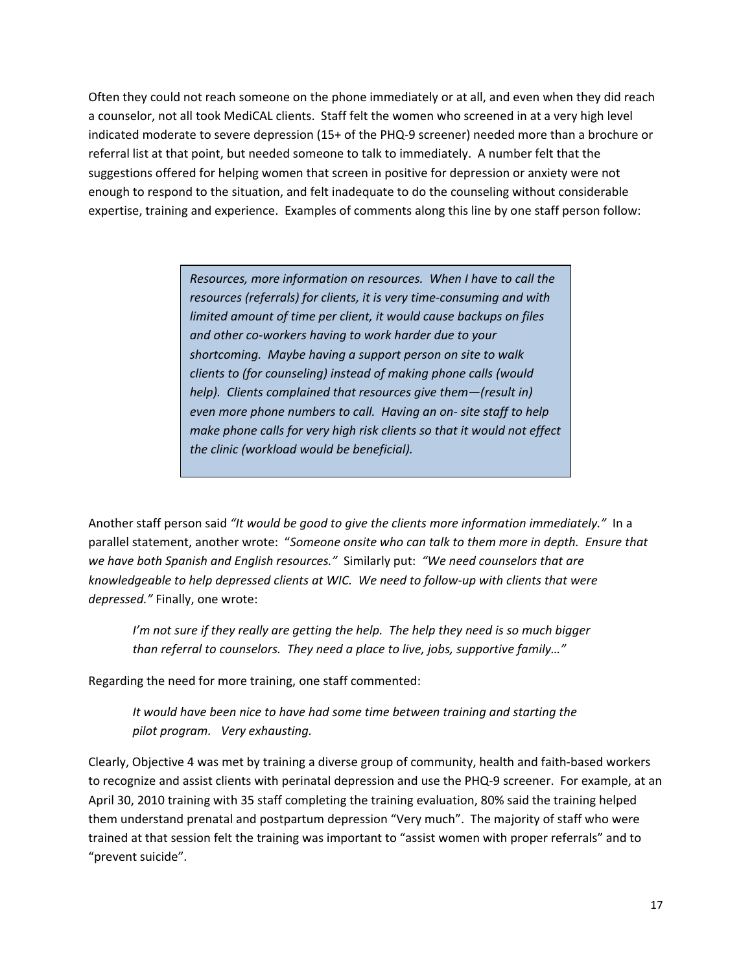Often they could not reach someone on the phone immediately or at all, and even when they did reach a counselor, not all took MediCAL clients. Staff felt the women who screened in at a very high level indicated moderate to severe depression (15+ of the PHQ‐9 screener) needed more than a brochure or referral list at that point, but needed someone to talk to immediately. A number felt that the suggestions offered for helping women that screen in positive for depression or anxiety were not enough to respond to the situation, and felt inadequate to do the counseling without considerable expertise, training and experience. Examples of comments along this line by one staff person follow:

> *Resources, more information on resources. When I have to call the resources (referrals) for clients, it is very time‐consuming and with limited amount of time per client, it would cause backups on files and other co‐workers having to work harder due to your shortcoming. Maybe having a support person on site to walk clients to (for counseling) instead of making phone calls (would help). Clients complained that resources give them—(result in) even more phone numbers to call. Having an on‐ site staff to help make phone calls for very high risk clients so that it would not effect the clinic (workload would be beneficial).*

Another staff person said *"It would be good to give the clients more information immediately."* In a parallel statement, another wrote: "*Someone onsite who can talk to them more in depth. Ensure that we have both Spanish and English resources."* Similarly put: *"We need counselors that are knowledgeable to help depressed clients at WIC. We need to follow‐up with clients that were depressed."* Finally, one wrote:

*I'm not sure if they really are getting the help. The help they need is so much bigger than referral to counselors. They need a place to live, jobs, supportive family…"*

Regarding the need for more training, one staff commented:

*It would have been nice to have had some time between training and starting the pilot program. Very exhausting.*

Clearly, Objective 4 was met by training a diverse group of community, health and faith‐based workers to recognize and assist clients with perinatal depression and use the PHQ‐9 screener. For example, at an April 30, 2010 training with 35 staff completing the training evaluation, 80% said the training helped them understand prenatal and postpartum depression "Very much". The majority of staff who were trained at that session felt the training was important to "assist women with proper referrals" and to "prevent suicide".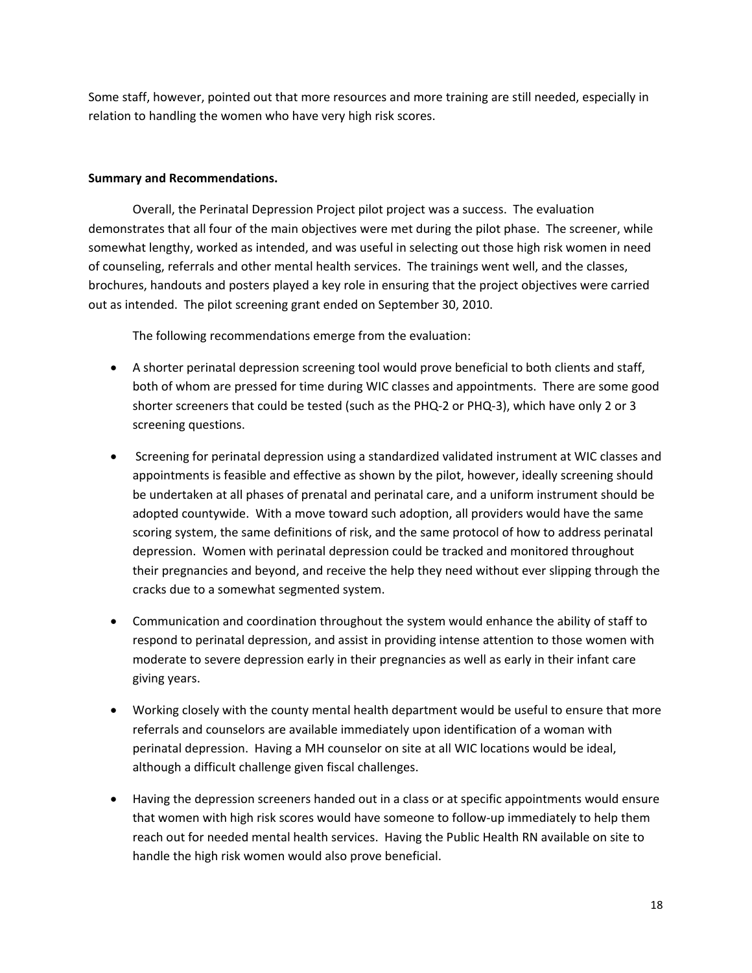Some staff, however, pointed out that more resources and more training are still needed, especially in relation to handling the women who have very high risk scores.

## **Summary and Recommendations.**

Overall, the Perinatal Depression Project pilot project was a success. The evaluation demonstrates that all four of the main objectives were met during the pilot phase. The screener, while somewhat lengthy, worked as intended, and was useful in selecting out those high risk women in need of counseling, referrals and other mental health services. The trainings went well, and the classes, brochures, handouts and posters played a key role in ensuring that the project objectives were carried out as intended. The pilot screening grant ended on September 30, 2010.

The following recommendations emerge from the evaluation:

- A shorter perinatal depression screening tool would prove beneficial to both clients and staff, both of whom are pressed for time during WIC classes and appointments. There are some good shorter screeners that could be tested (such as the PHQ‐2 or PHQ‐3), which have only 2 or 3 screening questions.
- Screening for perinatal depression using a standardized validated instrument at WIC classes and appointments is feasible and effective as shown by the pilot, however, ideally screening should be undertaken at all phases of prenatal and perinatal care, and a uniform instrument should be adopted countywide. With a move toward such adoption, all providers would have the same scoring system, the same definitions of risk, and the same protocol of how to address perinatal depression. Women with perinatal depression could be tracked and monitored throughout their pregnancies and beyond, and receive the help they need without ever slipping through the cracks due to a somewhat segmented system.
- Communication and coordination throughout the system would enhance the ability of staff to respond to perinatal depression, and assist in providing intense attention to those women with moderate to severe depression early in their pregnancies as well as early in their infant care giving years.
- Working closely with the county mental health department would be useful to ensure that more referrals and counselors are available immediately upon identification of a woman with perinatal depression. Having a MH counselor on site at all WIC locations would be ideal, although a difficult challenge given fiscal challenges.
- Having the depression screeners handed out in a class or at specific appointments would ensure that women with high risk scores would have someone to follow‐up immediately to help them reach out for needed mental health services. Having the Public Health RN available on site to handle the high risk women would also prove beneficial.